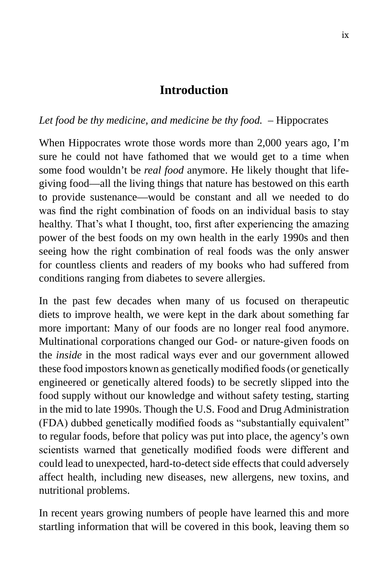## **Introduction**

#### *Let food be thy medicine, and medicine be thy food.* – Hippocrates

When Hippocrates wrote those words more than 2,000 years ago, I'm sure he could not have fathomed that we would get to a time when some food wouldn't be *real food* anymore. He likely thought that lifegiving food—all the living things that nature has bestowed on this earth to provide sustenance—would be constant and all we needed to do was find the right combination of foods on an individual basis to stay healthy. That's what I thought, too, first after experiencing the amazing power of the best foods on my own health in the early 1990s and then seeing how the right combination of real foods was the only answer for countless clients and readers of my books who had suffered from conditions ranging from diabetes to severe allergies.

In the past few decades when many of us focused on therapeutic diets to improve health, we were kept in the dark about something far more important: Many of our foods are no longer real food anymore. Multinational corporations changed our God- or nature-given foods on the *inside* in the most radical ways ever and our government allowed these food impostors known as genetically modified foods (or genetically engineered or genetically altered foods) to be secretly slipped into the food supply without our knowledge and without safety testing, starting in the mid to late 1990s. Though the U.S. Food and Drug Administration (FDA) dubbed genetically modified foods as "substantially equivalent" to regular foods, before that policy was put into place, the agency's own scientists warned that genetically modified foods were different and could lead to unexpected, hard-to-detect side effects that could adversely affect health, including new diseases, new allergens, new toxins, and nutritional problems.

In recent years growing numbers of people have learned this and more startling information that will be covered in this book, leaving them so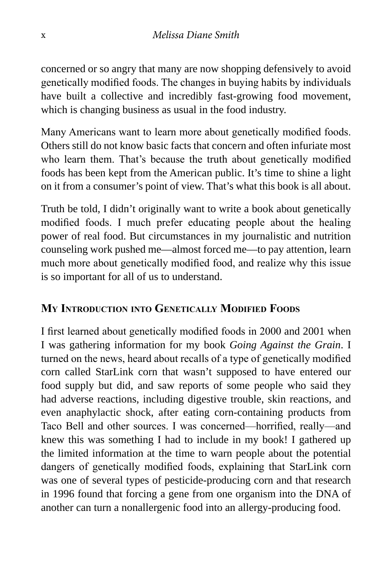concerned or so angry that many are now shopping defensively to avoid genetically modified foods. The changes in buying habits by individuals have built a collective and incredibly fast-growing food movement, which is changing business as usual in the food industry.

Many Americans want to learn more about genetically modified foods. Others still do not know basic facts that concern and often infuriate most who learn them. That's because the truth about genetically modified foods has been kept from the American public. It's time to shine a light on it from a consumer's point of view. That's what this book is all about.

Truth be told, I didn't originally want to write a book about genetically modified foods. I much prefer educating people about the healing power of real food. But circumstances in my journalistic and nutrition counseling work pushed me—almost forced me—to pay attention, learn much more about genetically modified food, and realize why this issue is so important for all of us to understand.

### **My Introduction into Genetically Modified Foods**

I first learned about genetically modified foods in 2000 and 2001 when I was gathering information for my book *Going Against the Grain*. I turned on the news, heard about recalls of a type of genetically modified corn called StarLink corn that wasn't supposed to have entered our food supply but did, and saw reports of some people who said they had adverse reactions, including digestive trouble, skin reactions, and even anaphylactic shock, after eating corn-containing products from Taco Bell and other sources. I was concerned—horrified, really—and knew this was something I had to include in my book! I gathered up the limited information at the time to warn people about the potential dangers of genetically modified foods, explaining that StarLink corn was one of several types of pesticide-producing corn and that research in 1996 found that forcing a gene from one organism into the DNA of another can turn a nonallergenic food into an allergy-producing food.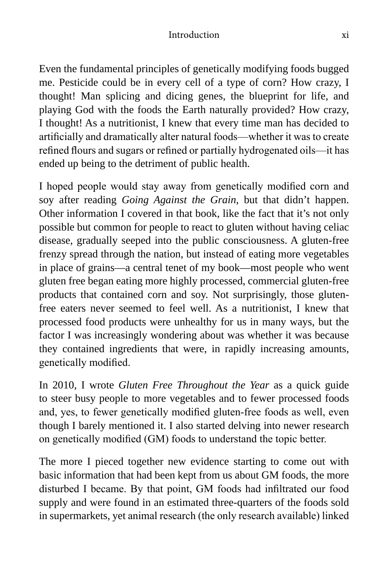#### Introduction xi

Even the fundamental principles of genetically modifying foods bugged me. Pesticide could be in every cell of a type of corn? How crazy, I thought! Man splicing and dicing genes, the blueprint for life, and playing God with the foods the Earth naturally provided? How crazy, I thought! As a nutritionist, I knew that every time man has decided to artificially and dramatically alter natural foods—whether it was to create refined flours and sugars or refined or partially hydrogenated oils—it has ended up being to the detriment of public health.

I hoped people would stay away from genetically modified corn and soy after reading *Going Against the Grain*, but that didn't happen. Other information I covered in that book, like the fact that it's not only possible but common for people to react to gluten without having celiac disease, gradually seeped into the public consciousness. A gluten-free frenzy spread through the nation, but instead of eating more vegetables in place of grains—a central tenet of my book—most people who went gluten free began eating more highly processed, commercial gluten-free products that contained corn and soy. Not surprisingly, those glutenfree eaters never seemed to feel well. As a nutritionist, I knew that processed food products were unhealthy for us in many ways, but the factor I was increasingly wondering about was whether it was because they contained ingredients that were, in rapidly increasing amounts, genetically modified.

In 2010, I wrote *Gluten Free Throughout the Year* as a quick guide to steer busy people to more vegetables and to fewer processed foods and, yes, to fewer genetically modified gluten-free foods as well, even though I barely mentioned it. I also started delving into newer research on genetically modified (GM) foods to understand the topic better.

The more I pieced together new evidence starting to come out with basic information that had been kept from us about GM foods, the more disturbed I became. By that point, GM foods had infiltrated our food supply and were found in an estimated three-quarters of the foods sold in supermarkets, yet animal research (the only research available) linked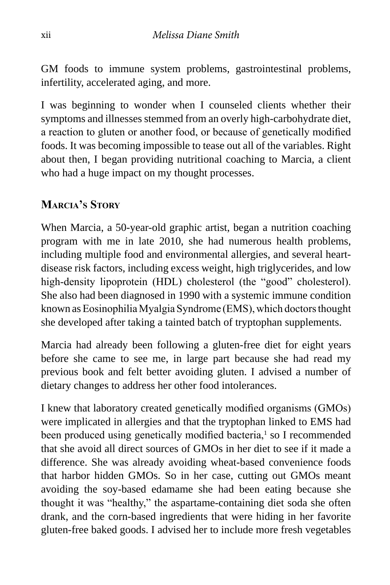GM foods to immune system problems, gastrointestinal problems, infertility, accelerated aging, and more.

I was beginning to wonder when I counseled clients whether their symptoms and illnesses stemmed from an overly high-carbohydrate diet, a reaction to gluten or another food, or because of genetically modified foods. It was becoming impossible to tease out all of the variables. Right about then, I began providing nutritional coaching to Marcia, a client who had a huge impact on my thought processes.

## **Marcia's Story**

When Marcia, a 50-year-old graphic artist, began a nutrition coaching program with me in late 2010, she had numerous health problems, including multiple food and environmental allergies, and several heartdisease risk factors, including excess weight, high triglycerides, and low high-density lipoprotein (HDL) cholesterol (the "good" cholesterol). She also had been diagnosed in 1990 with a systemic immune condition known as Eosinophilia Myalgia Syndrome (EMS), which doctors thought she developed after taking a tainted batch of tryptophan supplements.

Marcia had already been following a gluten-free diet for eight years before she came to see me, in large part because she had read my previous book and felt better avoiding gluten. I advised a number of dietary changes to address her other food intolerances.

I knew that laboratory created genetically modified organisms (GMOs) were implicated in allergies and that the tryptophan linked to EMS had been produced using genetically modified bacteria,<sup>1</sup> so I recommended that she avoid all direct sources of GMOs in her diet to see if it made a difference. She was already avoiding wheat-based convenience foods that harbor hidden GMOs. So in her case, cutting out GMOs meant avoiding the soy-based edamame she had been eating because she thought it was "healthy," the aspartame-containing diet soda she often drank, and the corn-based ingredients that were hiding in her favorite gluten-free baked goods. I advised her to include more fresh vegetables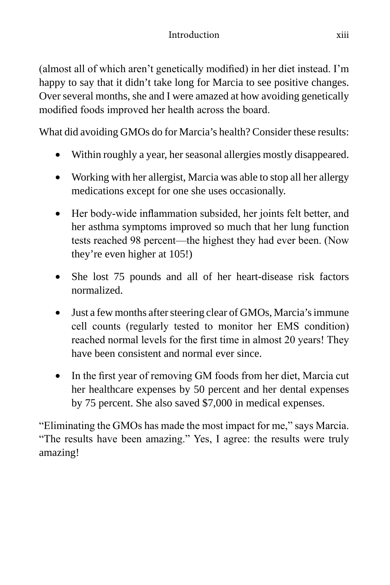(almost all of which aren't genetically modified) in her diet instead. I'm happy to say that it didn't take long for Marcia to see positive changes. Over several months, she and I were amazed at how avoiding genetically modified foods improved her health across the board.

What did avoiding GMOs do for Marcia's health? Consider these results:

- Within roughly a year, her seasonal allergies mostly disappeared.
- Working with her allergist, Marcia was able to stop all her allergy medications except for one she uses occasionally.
- Her body-wide inflammation subsided, her joints felt better, and her asthma symptoms improved so much that her lung function tests reached 98 percent—the highest they had ever been. (Now they're even higher at 105!)
- She lost 75 pounds and all of her heart-disease risk factors normalized.
- Just a few months after steering clear of GMOs, Marcia's immune cell counts (regularly tested to monitor her EMS condition) reached normal levels for the first time in almost 20 years! They have been consistent and normal ever since.
- In the first year of removing GM foods from her diet, Marcia cut her healthcare expenses by 50 percent and her dental expenses by 75 percent. She also saved \$7,000 in medical expenses.

"Eliminating the GMOs has made the most impact for me," says Marcia. "The results have been amazing." Yes, I agree: the results were truly amazing!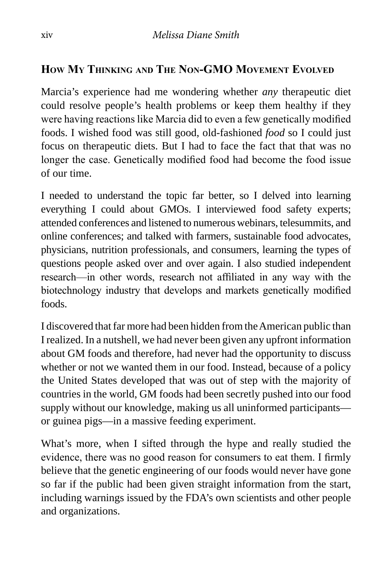# **How My Thinking and The Non-GMO Movement Evolved**

Marcia's experience had me wondering whether *any* therapeutic diet could resolve people's health problems or keep them healthy if they were having reactions like Marcia did to even a few genetically modified foods. I wished food was still good, old-fashioned *food* so I could just focus on therapeutic diets. But I had to face the fact that that was no longer the case. Genetically modified food had become the food issue of our time.

I needed to understand the topic far better, so I delved into learning everything I could about GMOs. I interviewed food safety experts; attended conferences and listened to numerous webinars, telesummits, and online conferences; and talked with farmers, sustainable food advocates, physicians, nutrition professionals, and consumers, learning the types of questions people asked over and over again. I also studied independent research—in other words, research not affiliated in any way with the biotechnology industry that develops and markets genetically modified foods.

I discovered that far more had been hidden from the American public than I realized. In a nutshell, we had never been given any upfront information about GM foods and therefore, had never had the opportunity to discuss whether or not we wanted them in our food. Instead, because of a policy the United States developed that was out of step with the majority of countries in the world, GM foods had been secretly pushed into our food supply without our knowledge, making us all uninformed participants or guinea pigs—in a massive feeding experiment.

What's more, when I sifted through the hype and really studied the evidence, there was no good reason for consumers to eat them. I firmly believe that the genetic engineering of our foods would never have gone so far if the public had been given straight information from the start, including warnings issued by the FDA's own scientists and other people and organizations.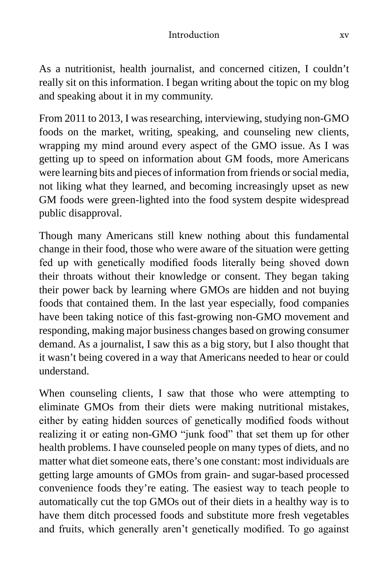As a nutritionist, health journalist, and concerned citizen, I couldn't really sit on this information. I began writing about the topic on my blog and speaking about it in my community.

From 2011 to 2013, I was researching, interviewing, studying non-GMO foods on the market, writing, speaking, and counseling new clients, wrapping my mind around every aspect of the GMO issue. As I was getting up to speed on information about GM foods, more Americans were learning bits and pieces of information from friends or social media, not liking what they learned, and becoming increasingly upset as new GM foods were green-lighted into the food system despite widespread public disapproval.

Though many Americans still knew nothing about this fundamental change in their food, those who were aware of the situation were getting fed up with genetically modified foods literally being shoved down their throats without their knowledge or consent. They began taking their power back by learning where GMOs are hidden and not buying foods that contained them. In the last year especially, food companies have been taking notice of this fast-growing non-GMO movement and responding, making major business changes based on growing consumer demand. As a journalist, I saw this as a big story, but I also thought that it wasn't being covered in a way that Americans needed to hear or could understand.

When counseling clients, I saw that those who were attempting to eliminate GMOs from their diets were making nutritional mistakes, either by eating hidden sources of genetically modified foods without realizing it or eating non-GMO "junk food" that set them up for other health problems. I have counseled people on many types of diets, and no matter what diet someone eats, there's one constant: most individuals are getting large amounts of GMOs from grain- and sugar-based processed convenience foods they're eating. The easiest way to teach people to automatically cut the top GMOs out of their diets in a healthy way is to have them ditch processed foods and substitute more fresh vegetables and fruits, which generally aren't genetically modified. To go against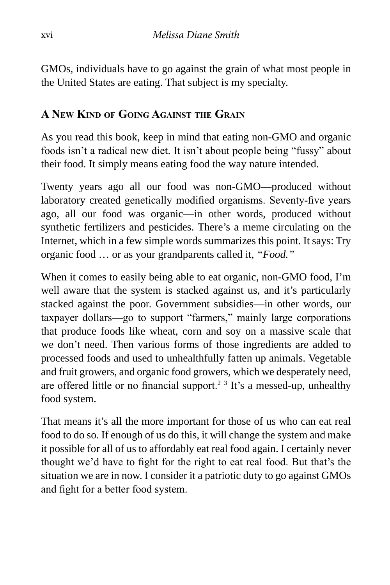GMOs, individuals have to go against the grain of what most people in the United States are eating. That subject is my specialty.

### **A New Kind of Going Against the Grain**

As you read this book, keep in mind that eating non-GMO and organic foods isn't a radical new diet. It isn't about people being "fussy" about their food. It simply means eating food the way nature intended.

Twenty years ago all our food was non-GMO—produced without laboratory created genetically modified organisms. Seventy-five years ago, all our food was organic—in other words, produced without synthetic fertilizers and pesticides. There's a meme circulating on the Internet, which in a few simple words summarizes this point. It says: Try organic food … or as your grandparents called it, *"Food."*

When it comes to easily being able to eat organic, non-GMO food, I'm well aware that the system is stacked against us, and it's particularly stacked against the poor. Government subsidies—in other words, our taxpayer dollars—go to support "farmers," mainly large corporations that produce foods like wheat, corn and soy on a massive scale that we don't need. Then various forms of those ingredients are added to processed foods and used to unhealthfully fatten up animals. Vegetable and fruit growers, and organic food growers, which we desperately need, are offered little or no financial support.<sup>2 3</sup> It's a messed-up, unhealthy food system.

That means it's all the more important for those of us who can eat real food to do so. If enough of us do this, it will change the system and make it possible for all of us to affordably eat real food again. I certainly never thought we'd have to fight for the right to eat real food. But that's the situation we are in now. I consider it a patriotic duty to go against GMOs and fight for a better food system.